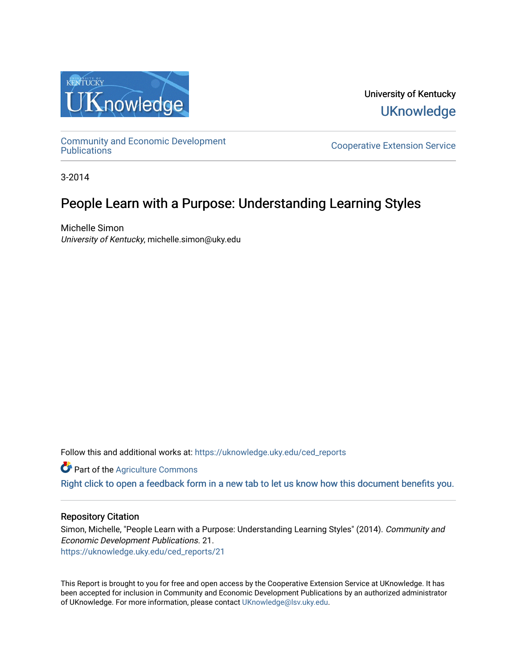

University of Kentucky **UKnowledge** 

[Community and Economic Development](https://uknowledge.uky.edu/ced_reports) 

**Cooperative Extension Service** 

3-2014

# People Learn with a Purpose: Understanding Learning Styles

Michelle Simon University of Kentucky, michelle.simon@uky.edu

Follow this and additional works at: [https://uknowledge.uky.edu/ced\\_reports](https://uknowledge.uky.edu/ced_reports?utm_source=uknowledge.uky.edu%2Fced_reports%2F21&utm_medium=PDF&utm_campaign=PDFCoverPages)

**C** Part of the [Agriculture Commons](http://network.bepress.com/hgg/discipline/1076?utm_source=uknowledge.uky.edu%2Fced_reports%2F21&utm_medium=PDF&utm_campaign=PDFCoverPages)

[Right click to open a feedback form in a new tab to let us know how this document benefits you.](https://uky.az1.qualtrics.com/jfe/form/SV_9mq8fx2GnONRfz7)

#### Repository Citation

Simon, Michelle, "People Learn with a Purpose: Understanding Learning Styles" (2014). Community and Economic Development Publications. 21. [https://uknowledge.uky.edu/ced\\_reports/21](https://uknowledge.uky.edu/ced_reports/21?utm_source=uknowledge.uky.edu%2Fced_reports%2F21&utm_medium=PDF&utm_campaign=PDFCoverPages) 

This Report is brought to you for free and open access by the Cooperative Extension Service at UKnowledge. It has been accepted for inclusion in Community and Economic Development Publications by an authorized administrator of UKnowledge. For more information, please contact [UKnowledge@lsv.uky.edu.](mailto:UKnowledge@lsv.uky.edu)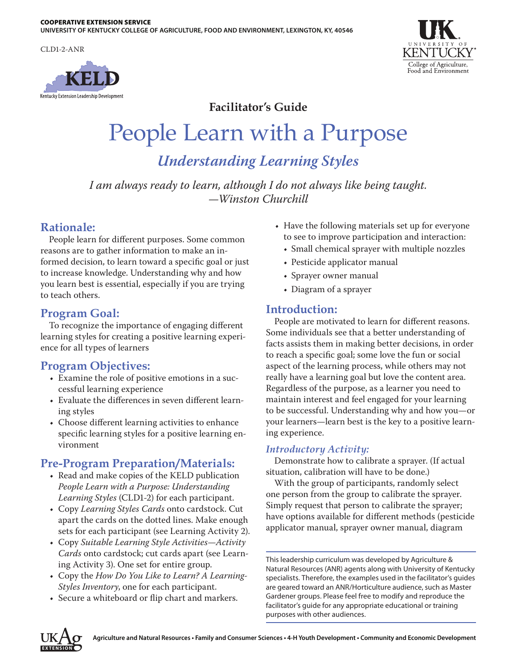CLD1-2-ANR





**Facilitator's Guide**

# People Learn with a Purpose

*Understanding Learning Styles*

*I am always ready to learn, although I do not always like being taught. —Winston Churchill*

# **Rationale:**

People learn for different purposes. Some common reasons are to gather information to make an informed decision, to learn toward a specific goal or just to increase knowledge. Understanding why and how you learn best is essential, especially if you are trying to teach others.

# **Program Goal:**

To recognize the importance of engaging different learning styles for creating a positive learning experience for all types of learners

# **Program Objectives:**

- Examine the role of positive emotions in a successful learning experience
- Evaluate the differences in seven different learning styles
- Choose different learning activities to enhance specific learning styles for a positive learning environment

# **Pre-Program Preparation/Materials:**

- • Read and make copies of the KELD publication *People Learn with a Purpose: Understanding Learning Styles* (CLD1-2) for each participant.
- • Copy *Learning Styles Cards* onto cardstock. Cut apart the cards on the dotted lines. Make enough sets for each participant (see Learning Activity 2).
- • Copy *Suitable Learning Style Activities—Activity Cards* onto cardstock; cut cards apart (see Learning Activity 3). One set for entire group.
- • Copy the *How Do You Like to Learn? A Learning-Styles Inventory*, one for each participant.
- • Secure a whiteboard or flip chart and markers.
- Have the following materials set up for everyone to see to improve participation and interaction:
	- • Small chemical sprayer with multiple nozzles
	- Pesticide applicator manual
	- Sprayer owner manual
	- Diagram of a sprayer

# **Introduction:**

People are motivated to learn for different reasons. Some individuals see that a better understanding of facts assists them in making better decisions, in order to reach a specific goal; some love the fun or social aspect of the learning process, while others may not really have a learning goal but love the content area. Regardless of the purpose, as a learner you need to maintain interest and feel engaged for your learning to be successful. Understanding why and how you—or your learners—learn best is the key to a positive learning experience.

## *Introductory Activity:*

Demonstrate how to calibrate a sprayer. (If actual situation, calibration will have to be done.)

With the group of participants, randomly select one person from the group to calibrate the sprayer. Simply request that person to calibrate the sprayer; have options available for different methods (pesticide applicator manual, sprayer owner manual, diagram

This leadership curriculum was developed by Agriculture & Natural Resources (ANR) agents along with University of Kentucky specialists. Therefore, the examples used in the facilitator's guides are geared toward an ANR/Horticulture audience, such as Master Gardener groups. Please feel free to modify and reproduce the facilitator's guide for any appropriate educational or training purposes with other audiences.

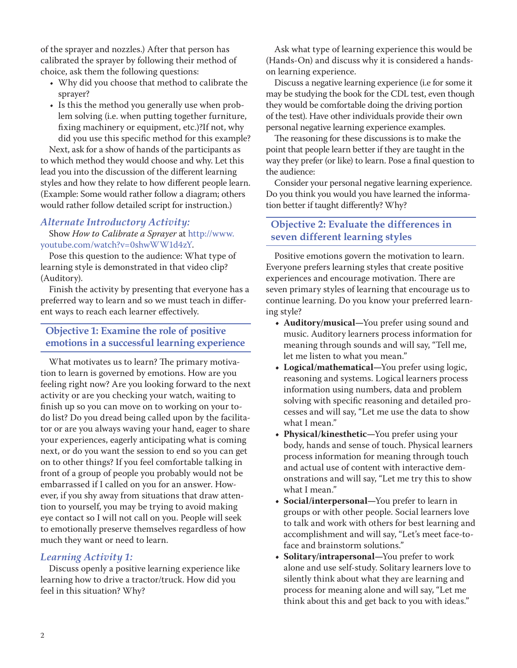of the sprayer and nozzles.) After that person has calibrated the sprayer by following their method of choice, ask them the following questions:

- • Why did you choose that method to calibrate the sprayer?
- Is this the method you generally use when problem solving (i.e. when putting together furniture, fixing machinery or equipment, etc.)?If not, why did you use this specific method for this example?

Next, ask for a show of hands of the participants as to which method they would choose and why. Let this lead you into the discussion of the different learning styles and how they relate to how different people learn. (Example: Some would rather follow a diagram; others would rather follow detailed script for instruction.)

## *Alternate Introductory Activity:* Show *How to Calibrate a Sprayer* at http://www.

youtube.com/watch?v=0shwWW1d4zY.

Pose this question to the audience: What type of learning style is demonstrated in that video clip? (Auditory).

Finish the activity by presenting that everyone has a preferred way to learn and so we must teach in different ways to reach each learner effectively.

#### **Objective 1: Examine the role of positive emotions in a successful learning experience**

What motivates us to learn? The primary motivation to learn is governed by emotions. How are you feeling right now? Are you looking forward to the next activity or are you checking your watch, waiting to finish up so you can move on to working on your todo list? Do you dread being called upon by the facilitator or are you always waving your hand, eager to share your experiences, eagerly anticipating what is coming next, or do you want the session to end so you can get on to other things? If you feel comfortable talking in front of a group of people you probably would not be embarrassed if I called on you for an answer. However, if you shy away from situations that draw attention to yourself, you may be trying to avoid making eye contact so I will not call on you. People will seek to emotionally preserve themselves regardless of how much they want or need to learn.

#### *Learning Activity 1:*

Discuss openly a positive learning experience like learning how to drive a tractor/truck. How did you feel in this situation? Why?

Ask what type of learning experience this would be (Hands-On) and discuss why it is considered a handson learning experience.

Discuss a negative learning experience (i.e for some it may be studying the book for the CDL test, even though they would be comfortable doing the driving portion of the test). Have other individuals provide their own personal negative learning experience examples.

The reasoning for these discussions is to make the point that people learn better if they are taught in the way they prefer (or like) to learn. Pose a final question to the audience:

Consider your personal negative learning experience. Do you think you would you have learned the information better if taught differently? Why?

## **Objective 2: Evaluate the differences in seven different learning styles**

Positive emotions govern the motivation to learn. Everyone prefers learning styles that create positive experiences and encourage motivation. There are seven primary styles of learning that encourage us to continue learning. Do you know your preferred learning style?

- **• Auditory/musical—**You prefer using sound and music. Auditory learners process information for meaning through sounds and will say, "Tell me, let me listen to what you mean."
- **• Logical/mathematical—**You prefer using logic, reasoning and systems. Logical learners process information using numbers, data and problem solving with specific reasoning and detailed processes and will say, "Let me use the data to show what I mean."
- **Physical/kinesthetic—You prefer using your** body, hands and sense of touch. Physical learners process information for meaning through touch and actual use of content with interactive demonstrations and will say, "Let me try this to show what I mean."
- **• Social/interpersonal—**You prefer to learn in groups or with other people. Social learners love to talk and work with others for best learning and accomplishment and will say, "Let's meet face-toface and brainstorm solutions."
- **• Solitary/intrapersonal—**You prefer to work alone and use self-study. Solitary learners love to silently think about what they are learning and process for meaning alone and will say, "Let me think about this and get back to you with ideas."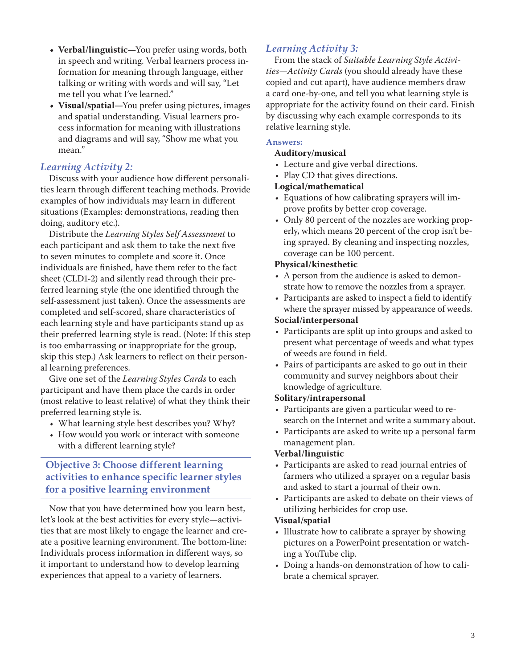- **• Verbal/linguistic—**You prefer using words, both in speech and writing. Verbal learners process information for meaning through language, either talking or writing with words and will say, "Let me tell you what I've learned."
- **• Visual/spatial—**You prefer using pictures, images and spatial understanding. Visual learners process information for meaning with illustrations and diagrams and will say, "Show me what you mean."

#### *Learning Activity 2:*

Discuss with your audience how different personalities learn through different teaching methods. Provide examples of how individuals may learn in different situations (Examples: demonstrations, reading then doing, auditory etc.).

Distribute the *Learning Styles Self Assessment* to each participant and ask them to take the next five to seven minutes to complete and score it. Once individuals are finished, have them refer to the fact sheet (CLD1-2) and silently read through their preferred learning style (the one identified through the self-assessment just taken). Once the assessments are completed and self-scored, share characteristics of each learning style and have participants stand up as their preferred learning style is read. (Note: If this step is too embarrassing or inappropriate for the group, skip this step.) Ask learners to reflect on their personal learning preferences.

Give one set of the *Learning Styles Cards* to each participant and have them place the cards in order (most relative to least relative) of what they think their preferred learning style is.

- • What learning style best describes you? Why?
- How would you work or interact with someone with a different learning style?

## **Objective 3: Choose different learning activities to enhance specific learner styles for a positive learning environment**

Now that you have determined how you learn best, let's look at the best activities for every style—activities that are most likely to engage the learner and create a positive learning environment. The bottom-line: Individuals process information in different ways, so it important to understand how to develop learning experiences that appeal to a variety of learners.

#### *Learning Activity 3:*

From the stack of *Suitable Learning Style Activities—Activity Cards* (you should already have these copied and cut apart), have audience members draw a card one-by-one, and tell you what learning style is appropriate for the activity found on their card. Finish by discussing why each example corresponds to its relative learning style.

#### **Answers:**

#### **Auditory/musical**

- Lecture and give verbal directions.
- Play CD that gives directions.

#### **Logical/mathematical**

- • Equations of how calibrating sprayers will improve profits by better crop coverage.
- Only 80 percent of the nozzles are working properly, which means 20 percent of the crop isn't being sprayed. By cleaning and inspecting nozzles, coverage can be 100 percent.

#### **Physical/kinesthetic**

- A person from the audience is asked to demonstrate how to remove the nozzles from a sprayer.
- Participants are asked to inspect a field to identify where the sprayer missed by appearance of weeds.

#### **Social/interpersonal**

- • Participants are split up into groups and asked to present what percentage of weeds and what types of weeds are found in field.
- • Pairs of participants are asked to go out in their community and survey neighbors about their knowledge of agriculture.

#### **Solitary/intrapersonal**

- Participants are given a particular weed to research on the Internet and write a summary about.
- • Participants are asked to write up a personal farm management plan.

#### **Verbal/linguistic**

- • Participants are asked to read journal entries of farmers who utilized a sprayer on a regular basis and asked to start a journal of their own.
- • Participants are asked to debate on their views of utilizing herbicides for crop use.

#### **Visual/spatial**

- Illustrate how to calibrate a sprayer by showing pictures on a PowerPoint presentation or watching a YouTube clip.
- Doing a hands-on demonstration of how to calibrate a chemical sprayer.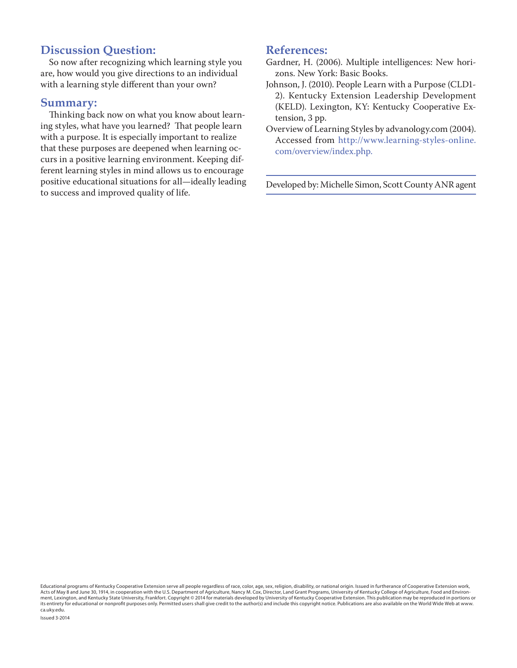# **Discussion Question:**

So now after recognizing which learning style you are, how would you give directions to an individual with a learning style different than your own?

#### **Summary:**

Thinking back now on what you know about learning styles, what have you learned? That people learn with a purpose. It is especially important to realize that these purposes are deepened when learning occurs in a positive learning environment. Keeping different learning styles in mind allows us to encourage positive educational situations for all—ideally leading to success and improved quality of life.

#### **References:**

- Gardner, H. (2006). Multiple intelligences: New horizons. New York: Basic Books.
- Johnson, J. (2010). People Learn with a Purpose (CLD1- 2). Kentucky Extension Leadership Development (KELD). Lexington, KY: Kentucky Cooperative Extension, 3 pp.
- Overview of Learning Styles by advanology.com (2004). Accessed from http://www.learning-styles-online. com/overview/index.php.

Developed by: Michelle Simon, Scott County ANR agent

Educational programs of Kentucky Cooperative Extension serve all people regardless of race, color, age, sex, religion, disability, or national origin. Issued in furtherance of Cooperative Extension work, Acts of May 8 and June 30, 1914, in cooperation with the U.S. Department of Agriculture, Nancy M. Cox, Director, Land Grant Programs, University of Kentucky College of Agriculture, Food and Environment, Lexington, and Kentucky State University, Frankfort. Copyright © 2014 for materials developed by University of Kentucky Cooperative Extension. This publication may be reproduced in portions or<br>its entirety for educa ca.uky.edu.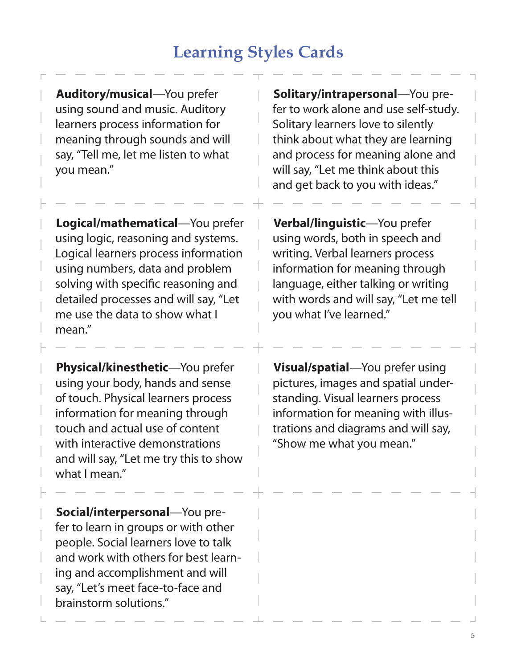# **Learning Styles Cards**

**Auditory/musical**—You prefer using sound and music. Auditory learners process information for meaning through sounds and will say, "Tell me, let me listen to what you mean."

**Logical/mathematical**—You prefer using logic, reasoning and systems. Logical learners process information using numbers, data and problem solving with specific reasoning and detailed processes and will say, "Let me use the data to show what I mean."

**Physical/kinesthetic**—You prefer using your body, hands and sense of touch. Physical learners process information for meaning through touch and actual use of content with interactive demonstrations and will say, "Let me try this to show what I mean."

**Social/interpersonal**—You prefer to learn in groups or with other people. Social learners love to talk and work with others for best learning and accomplishment and will say, "Let's meet face-to-face and brainstorm solutions."

**Solitary/intrapersonal**—You prefer to work alone and use self-study. Solitary learners love to silently think about what they are learning and process for meaning alone and will say, "Let me think about this and get back to you with ideas."

**Verbal/linguistic**—You prefer using words, both in speech and writing. Verbal learners process information for meaning through language, either talking or writing with words and will say, "Let me tell you what I've learned."

**Visual/spatial**—You prefer using pictures, images and spatial understanding. Visual learners process information for meaning with illustrations and diagrams and will say, "Show me what you mean."

5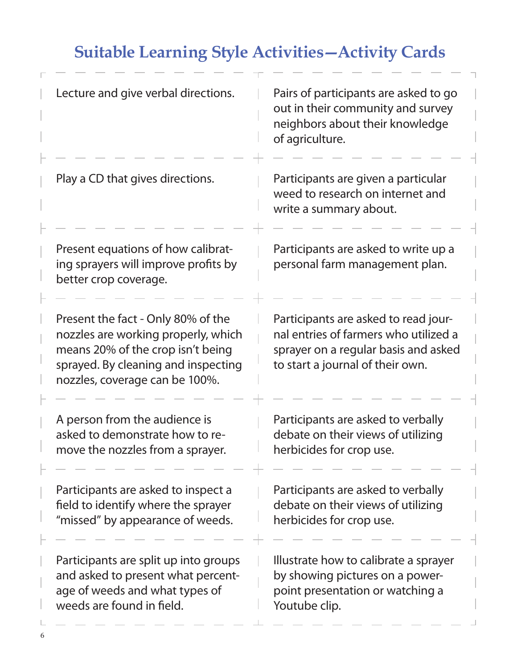# **Suitable Learning Style Activities—Activity Cards**

| Lecture and give verbal directions.                                                                                                                                                     | Pairs of participants are asked to go<br>out in their community and survey<br>neighbors about their knowledge<br>of agriculture.                          |
|-----------------------------------------------------------------------------------------------------------------------------------------------------------------------------------------|-----------------------------------------------------------------------------------------------------------------------------------------------------------|
| Play a CD that gives directions.                                                                                                                                                        | Participants are given a particular<br>weed to research on internet and<br>write a summary about.                                                         |
| Present equations of how calibrat-<br>ing sprayers will improve profits by<br>better crop coverage.                                                                                     | Participants are asked to write up a<br>personal farm management plan.                                                                                    |
| Present the fact - Only 80% of the<br>nozzles are working properly, which<br>means 20% of the crop isn't being<br>sprayed. By cleaning and inspecting<br>nozzles, coverage can be 100%. | Participants are asked to read jour-<br>nal entries of farmers who utilized a<br>sprayer on a regular basis and asked<br>to start a journal of their own. |
| A person from the audience is<br>asked to demonstrate how to re-<br>move the nozzles from a sprayer.                                                                                    | Participants are asked to verbally<br>debate on their views of utilizing<br>herbicides for crop use.                                                      |
| Participants are asked to inspect a<br>field to identify where the sprayer<br>"missed" by appearance of weeds.                                                                          | Participants are asked to verbally<br>debate on their views of utilizing<br>herbicides for crop use.                                                      |
| Participants are split up into groups<br>and asked to present what percent-<br>age of weeds and what types of<br>weeds are found in field.                                              | Illustrate how to calibrate a sprayer<br>by showing pictures on a power-<br>point presentation or watching a<br>Youtube clip.                             |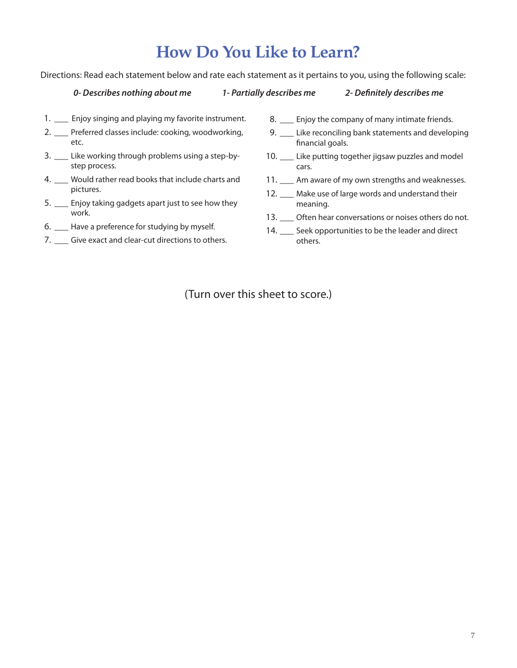# **How Do You Like to Learn?**

Directions: Read each statement below and rate each statement as it pertains to you, using the following scale:

#### 0- Describes nothing about me

1- Partially describes me

#### 2- Definitely describes me

- 1. \_\_ Enjoy singing and playing my favorite instrument.
- 2. Preferred classes include: cooking, woodworking, etc.
- 3. \_\_ Like working through problems using a step-bystep process.
- 4. \_\_ Would rather read books that include charts and pictures.
- 5. \_\_ Enjoy taking gadgets apart just to see how they work.
- 6. \_\_\_ Have a preference for studying by myself.
- 7. Give exact and clear-cut directions to others.
- 8. \_\_ Enjoy the company of many intimate friends.
- 9. \_\_ Like reconciling bank statements and developing financial goals.
- 10. \_\_ Like putting together jigsaw puzzles and model cars.
- 11. Am aware of my own strengths and weaknesses.
- 12. \_\_ Make use of large words and understand their meaning.
- 13. \_\_ Often hear conversations or noises others do not.
- 14. Seek opportunities to be the leader and direct others.

(Turn over this sheet to score.)